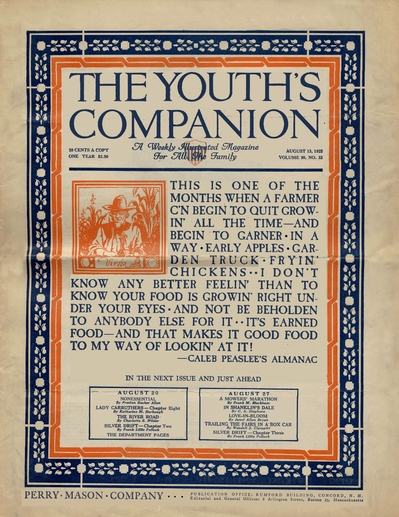

PERRY · MASON · COMPANY **·** · · <sup>PUBLICATION OFFICE: RUMFORD BUILDING, CONCORD, N. H.</sup>